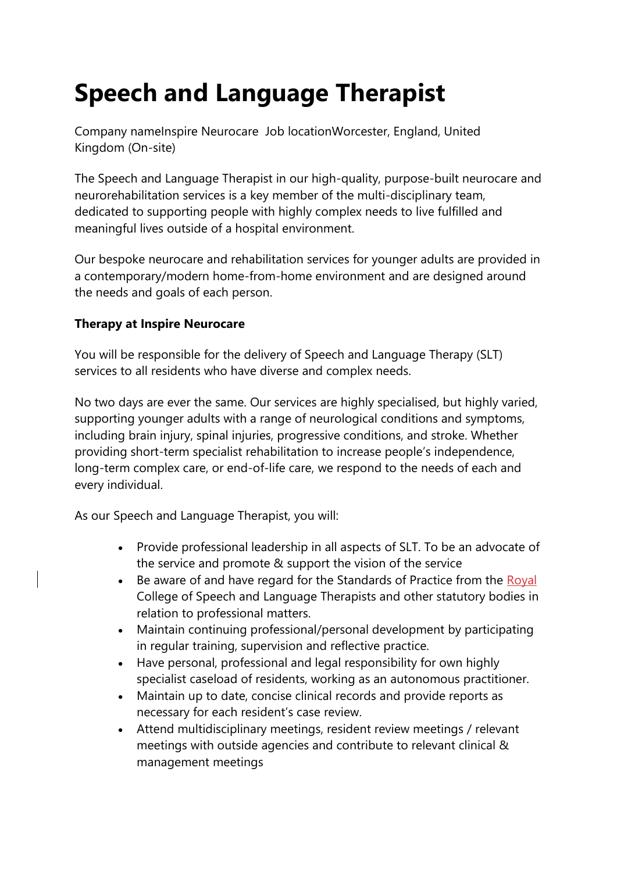# **Speech and Language Therapist**

Company nameInspire Neurocare Job locationWorcester, England, United Kingdom (On-site)

The Speech and Language Therapist in our high-quality, purpose-built neurocare and neurorehabilitation services is a key member of the multi-disciplinary team, dedicated to supporting people with highly complex needs to live fulfilled and meaningful lives outside of a hospital environment.

Our bespoke neurocare and rehabilitation services for younger adults are provided in a contemporary/modern home-from-home environment and are designed around the needs and goals of each person.

## **Therapy at Inspire Neurocare**

You will be responsible for the delivery of Speech and Language Therapy (SLT) services to all residents who have diverse and complex needs.

No two days are ever the same. Our services are highly specialised, but highly varied, supporting younger adults with a range of neurological conditions and symptoms, including brain injury, spinal injuries, progressive conditions, and stroke. Whether providing short-term specialist rehabilitation to increase people's independence, long-term complex care, or end-of-life care, we respond to the needs of each and every individual.

As our Speech and Language Therapist, you will:

- Provide professional leadership in all aspects of SLT. To be an advocate of the service and promote & support the vision of the service
- Be aware of and have regard for the Standards of Practice from the Royal College of Speech and Language Therapists and other statutory bodies in relation to professional matters.
- Maintain continuing professional/personal development by participating in regular training, supervision and reflective practice.
- Have personal, professional and legal responsibility for own highly specialist caseload of residents, working as an autonomous practitioner.
- Maintain up to date, concise clinical records and provide reports as necessary for each resident's case review.
- Attend multidisciplinary meetings, resident review meetings / relevant meetings with outside agencies and contribute to relevant clinical & management meetings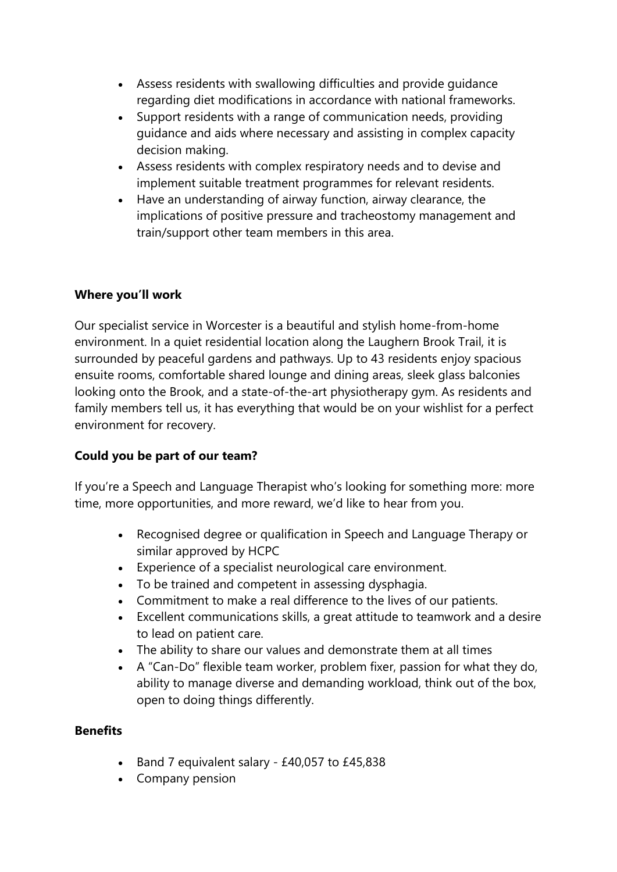- Assess residents with swallowing difficulties and provide guidance regarding diet modifications in accordance with national frameworks.
- Support residents with a range of communication needs, providing guidance and aids where necessary and assisting in complex capacity decision making.
- Assess residents with complex respiratory needs and to devise and implement suitable treatment programmes for relevant residents.
- Have an understanding of airway function, airway clearance, the implications of positive pressure and tracheostomy management and train/support other team members in this area.

### **Where you'll work**

Our specialist service in Worcester is a beautiful and stylish home-from-home environment. In a quiet residential location along the Laughern Brook Trail, it is surrounded by peaceful gardens and pathways. Up to 43 residents enjoy spacious ensuite rooms, comfortable shared lounge and dining areas, sleek glass balconies looking onto the Brook, and a state-of-the-art physiotherapy gym. As residents and family members tell us, it has everything that would be on your wishlist for a perfect environment for recovery.

# **Could you be part of our team?**

If you're a Speech and Language Therapist who's looking for something more: more time, more opportunities, and more reward, we'd like to hear from you.

- Recognised degree or qualification in Speech and Language Therapy or similar approved by HCPC
- Experience of a specialist neurological care environment.
- To be trained and competent in assessing dysphagia.
- Commitment to make a real difference to the lives of our patients.
- Excellent communications skills, a great attitude to teamwork and a desire to lead on patient care.
- The ability to share our values and demonstrate them at all times
- A "Can-Do" flexible team worker, problem fixer, passion for what they do, ability to manage diverse and demanding workload, think out of the box, open to doing things differently.

### **Benefits**

- Band 7 equivalent salary £40,057 to £45,838
- Company pension